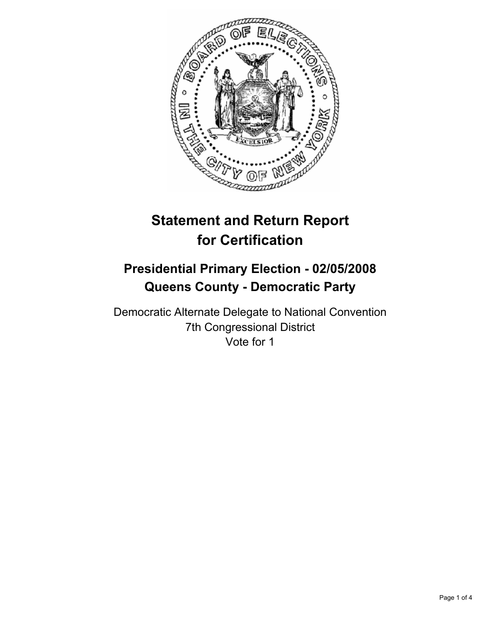

# **Statement and Return Report for Certification**

# **Presidential Primary Election - 02/05/2008 Queens County - Democratic Party**

Democratic Alternate Delegate to National Convention 7th Congressional District Vote for 1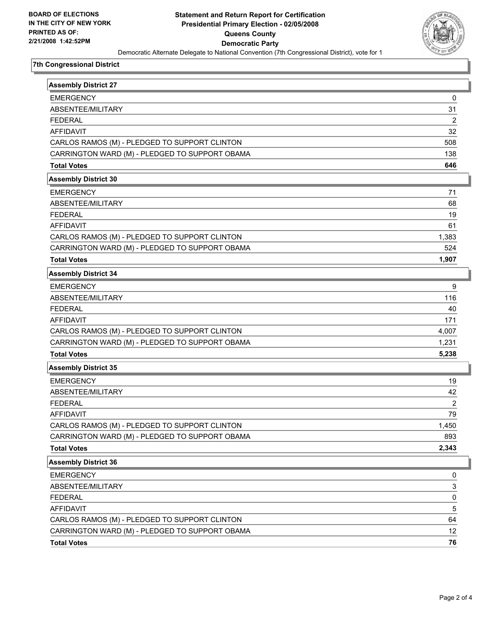

## **7th Congressional District**

| <b>Assembly District 27</b>                    |                |
|------------------------------------------------|----------------|
| <b>EMERGENCY</b>                               | 0              |
| ABSENTEE/MILITARY                              | 31             |
| <b>FEDERAL</b>                                 | 2              |
| <b>AFFIDAVIT</b>                               | 32             |
| CARLOS RAMOS (M) - PLEDGED TO SUPPORT CLINTON  | 508            |
| CARRINGTON WARD (M) - PLEDGED TO SUPPORT OBAMA | 138            |
| <b>Total Votes</b>                             | 646            |
| <b>Assembly District 30</b>                    |                |
| <b>EMERGENCY</b>                               | 71             |
| ABSENTEE/MILITARY                              | 68             |
| <b>FEDERAL</b>                                 | 19             |
| <b>AFFIDAVIT</b>                               | 61             |
| CARLOS RAMOS (M) - PLEDGED TO SUPPORT CLINTON  | 1,383          |
| CARRINGTON WARD (M) - PLEDGED TO SUPPORT OBAMA | 524            |
| <b>Total Votes</b>                             | 1,907          |
| <b>Assembly District 34</b>                    |                |
| <b>EMERGENCY</b>                               | 9              |
| ABSENTEE/MILITARY                              | 116            |
| <b>FEDERAL</b>                                 | 40             |
| <b>AFFIDAVIT</b>                               | 171            |
| CARLOS RAMOS (M) - PLEDGED TO SUPPORT CLINTON  | 4,007          |
| CARRINGTON WARD (M) - PLEDGED TO SUPPORT OBAMA | 1,231          |
| <b>Total Votes</b>                             | 5,238          |
| <b>Assembly District 35</b>                    |                |
| <b>EMERGENCY</b>                               | 19             |
| ABSENTEE/MILITARY                              | 42             |
| <b>FEDERAL</b>                                 | $\overline{2}$ |
| <b>AFFIDAVIT</b>                               | 79             |
| CARLOS RAMOS (M) - PLEDGED TO SUPPORT CLINTON  | 1,450          |
| CARRINGTON WARD (M) - PLEDGED TO SUPPORT OBAMA | 893            |
| <b>Total Votes</b>                             | 2,343          |
| <b>Assembly District 36</b>                    |                |
| <b>EMERGENCY</b>                               | 0              |
| ABSENTEE/MILITARY                              | 3              |
| <b>FEDERAL</b>                                 | 0              |
| <b>AFFIDAVIT</b>                               | 5              |
| CARLOS RAMOS (M) - PLEDGED TO SUPPORT CLINTON  | 64             |
| CARRINGTON WARD (M) - PLEDGED TO SUPPORT OBAMA | 12             |
| <b>Total Votes</b>                             | 76             |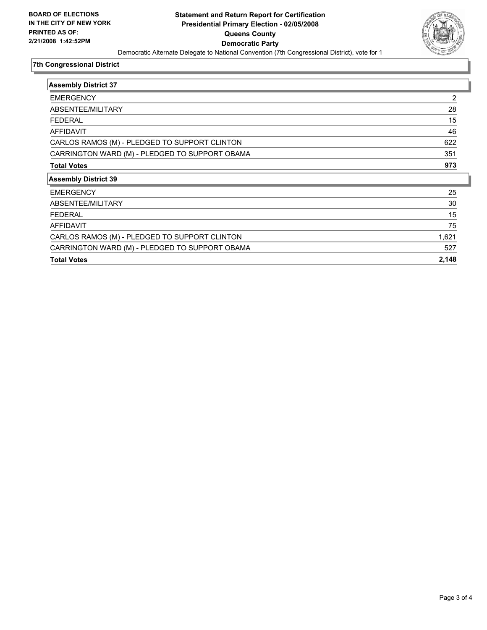

## **7th Congressional District**

| <b>Assembly District 37</b>                    |       |
|------------------------------------------------|-------|
| <b>EMERGENCY</b>                               | 2     |
| ABSENTEE/MILITARY                              | 28    |
| <b>FEDERAL</b>                                 | 15    |
| <b>AFFIDAVIT</b>                               | 46    |
| CARLOS RAMOS (M) - PLEDGED TO SUPPORT CLINTON  | 622   |
| CARRINGTON WARD (M) - PLEDGED TO SUPPORT OBAMA | 351   |
| <b>Total Votes</b>                             | 973   |
| <b>Assembly District 39</b>                    |       |
| <b>EMERGENCY</b>                               | 25    |
| ABSENTEE/MILITARY                              | 30    |
| <b>FEDERAL</b>                                 | 15    |
| <b>AFFIDAVIT</b>                               | 75    |
| CARLOS RAMOS (M) - PLEDGED TO SUPPORT CLINTON  | 1,621 |
| CARRINGTON WARD (M) - PLEDGED TO SUPPORT OBAMA | 527   |
| <b>Total Votes</b>                             | 2,148 |